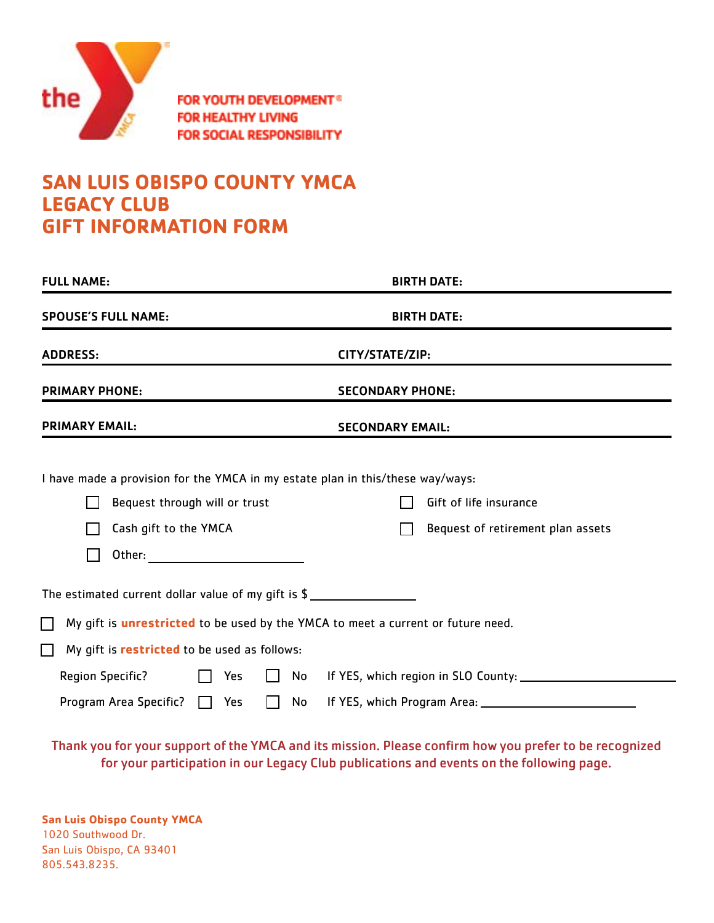

**FOR YOUTH DEVELOPMENT® FOR HEALTHY LIVING FOR SOCIAL RESPONSIBILITY** 

## **SAN LUIS OBISPO COUNTY YMCA LEGACY CLUB GIFT INFORMATION FORM**

| <b>FULL NAME:</b>                                                                                                                                                                                                                                          | <b>BIRTH DATE:</b>                                          |
|------------------------------------------------------------------------------------------------------------------------------------------------------------------------------------------------------------------------------------------------------------|-------------------------------------------------------------|
| <b>SPOUSE'S FULL NAME:</b>                                                                                                                                                                                                                                 | <b>BIRTH DATE:</b>                                          |
| <b>ADDRESS:</b>                                                                                                                                                                                                                                            | CITY/STATE/ZIP:                                             |
| <b>PRIMARY PHONE:</b>                                                                                                                                                                                                                                      | <b>SECONDARY PHONE:</b>                                     |
| <b>PRIMARY EMAIL:</b>                                                                                                                                                                                                                                      | <b>SECONDARY EMAIL:</b>                                     |
| I have made a provision for the YMCA in my estate plan in this/these way/ways:<br>Bequest through will or trust<br>Cash gift to the YMCA<br>Other: and the contract of the contract of the contract of the contract of the contract of the contract of the | Gift of life insurance<br>Bequest of retirement plan assets |
| The estimated current dollar value of my gift is \$<br>My gift is <i>unrestricted</i> to be used by the YMCA to meet a current or future need.<br>My gift is <b>restricted</b> to be used as follows:                                                      |                                                             |
| <b>Region Specific?</b><br>Yes<br>No<br>Program Area Specific?<br>Yes<br>No<br>$\mathbf{L}$<br>$\mathbf{I}$                                                                                                                                                |                                                             |

Thank you for your support of the YMCA and its mission. Please confirm how you prefer to be recognized for your participation in our Legacy Club publications and events on the following page.

**San Luis Obispo County YMCA** 1020 Southwood Dr. San Luis Obispo, CA 93401 805.543.8235.